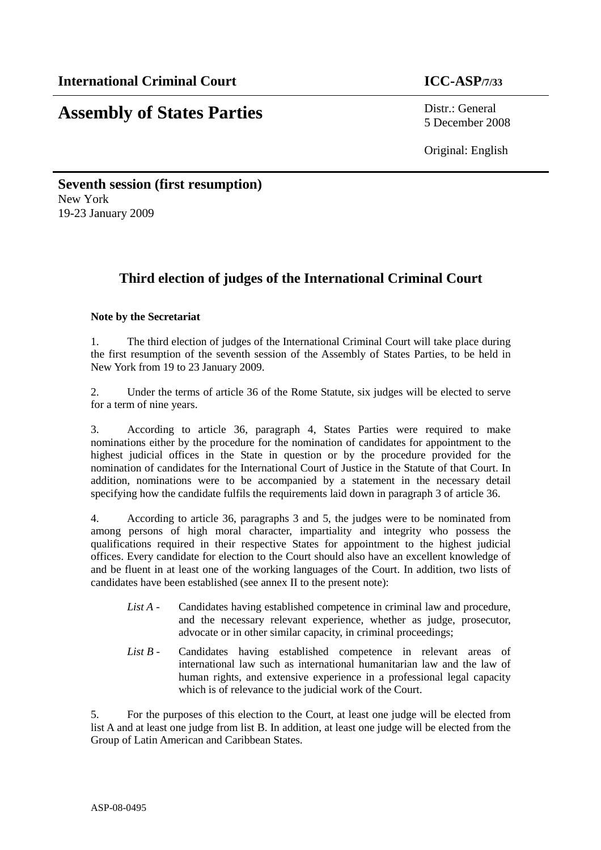# **Assembly of States Parties** Distr.: General

5 December 2008

Original: English

#### **Seventh session (first resumption)**  New York 19-23 January 2009

### **Third election of judges of the International Criminal Court**

#### **Note by the Secretariat**

1. The third election of judges of the International Criminal Court will take place during the first resumption of the seventh session of the Assembly of States Parties, to be held in New York from 19 to 23 January 2009.

2. Under the terms of article 36 of the Rome Statute, six judges will be elected to serve for a term of nine years.

3. According to article 36, paragraph 4, States Parties were required to make nominations either by the procedure for the nomination of candidates for appointment to the highest judicial offices in the State in question or by the procedure provided for the nomination of candidates for the International Court of Justice in the Statute of that Court. In addition, nominations were to be accompanied by a statement in the necessary detail specifying how the candidate fulfils the requirements laid down in paragraph 3 of article 36.

4. According to article 36, paragraphs 3 and 5, the judges were to be nominated from among persons of high moral character, impartiality and integrity who possess the qualifications required in their respective States for appointment to the highest judicial offices. Every candidate for election to the Court should also have an excellent knowledge of and be fluent in at least one of the working languages of the Court. In addition, two lists of candidates have been established (see annex II to the present note):

- *List A* Candidates having established competence in criminal law and procedure, and the necessary relevant experience, whether as judge, prosecutor, advocate or in other similar capacity, in criminal proceedings;
- *List B* Candidates having established competence in relevant areas of international law such as international humanitarian law and the law of human rights, and extensive experience in a professional legal capacity which is of relevance to the judicial work of the Court.

5. For the purposes of this election to the Court, at least one judge will be elected from list A and at least one judge from list B. In addition, at least one judge will be elected from the Group of Latin American and Caribbean States.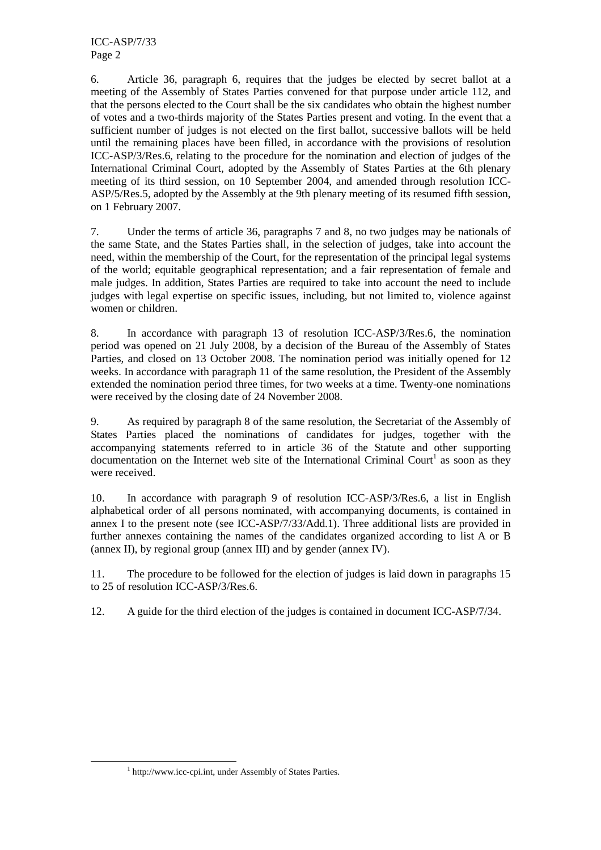6. Article 36, paragraph 6, requires that the judges be elected by secret ballot at a meeting of the Assembly of States Parties convened for that purpose under article 112, and that the persons elected to the Court shall be the six candidates who obtain the highest number of votes and a two-thirds majority of the States Parties present and voting. In the event that a sufficient number of judges is not elected on the first ballot, successive ballots will be held until the remaining places have been filled, in accordance with the provisions of resolution ICC-ASP/3/Res.6, relating to the procedure for the nomination and election of judges of the International Criminal Court, adopted by the Assembly of States Parties at the 6th plenary meeting of its third session, on 10 September 2004, and amended through resolution ICC-ASP/5/Res.5, adopted by the Assembly at the 9th plenary meeting of its resumed fifth session, on 1 February 2007.

7. Under the terms of article 36, paragraphs 7 and 8, no two judges may be nationals of the same State, and the States Parties shall, in the selection of judges, take into account the need, within the membership of the Court, for the representation of the principal legal systems of the world; equitable geographical representation; and a fair representation of female and male judges. In addition, States Parties are required to take into account the need to include judges with legal expertise on specific issues, including, but not limited to, violence against women or children.

8. In accordance with paragraph 13 of resolution ICC-ASP/3/Res.6, the nomination period was opened on 21 July 2008, by a decision of the Bureau of the Assembly of States Parties, and closed on 13 October 2008. The nomination period was initially opened for 12 weeks. In accordance with paragraph 11 of the same resolution, the President of the Assembly extended the nomination period three times, for two weeks at a time. Twenty-one nominations were received by the closing date of 24 November 2008.

9. As required by paragraph 8 of the same resolution, the Secretariat of the Assembly of States Parties placed the nominations of candidates for judges, together with the accompanying statements referred to in article 36 of the Statute and other supporting documentation on the Internet web site of the International Criminal Court<sup>1</sup> as soon as they were received.

10. In accordance with paragraph 9 of resolution ICC-ASP/3/Res.6, a list in English alphabetical order of all persons nominated, with accompanying documents, is contained in annex I to the present note (see ICC-ASP/7/33/Add.1). Three additional lists are provided in further annexes containing the names of the candidates organized according to list A or B (annex II), by regional group (annex III) and by gender (annex IV).

11. The procedure to be followed for the election of judges is laid down in paragraphs 15 to 25 of resolution ICC-ASP/3/Res.6.

12. A guide for the third election of the judges is contained in document ICC-ASP/7/34.

 $\overline{a}$ 

<sup>&</sup>lt;sup>1</sup> http://www.icc-cpi.int, under Assembly of States Parties.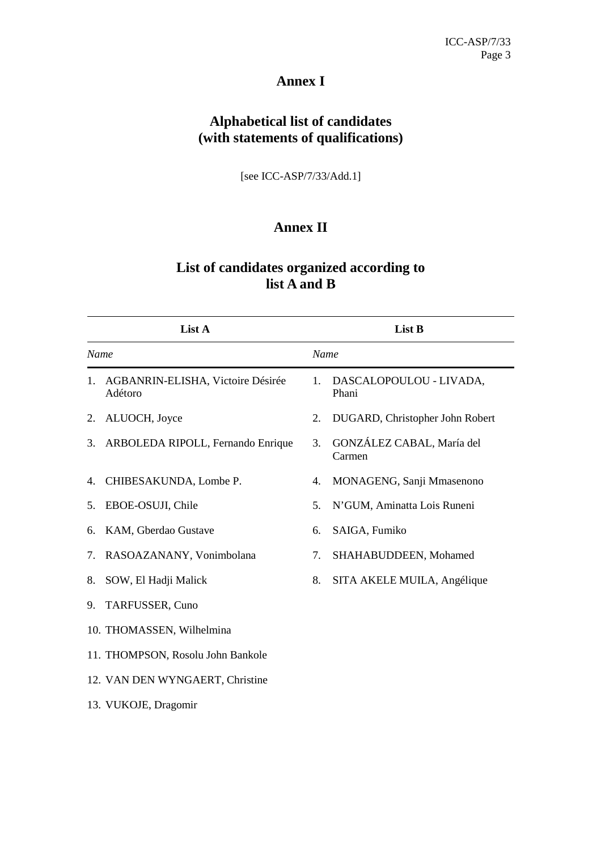#### **Annex I**

### **Alphabetical list of candidates (with statements of qualifications)**

[see ICC-ASP/7/33/Add.1]

### **Annex II**

### **List of candidates organized according to list A and B**

|      | List A                                       |      | List B                              |
|------|----------------------------------------------|------|-------------------------------------|
| Name |                                              | Name |                                     |
| 1.   | AGBANRIN-ELISHA, Victoire Désirée<br>Adétoro | 1.   | DASCALOPOULOU - LIVADA,<br>Phani    |
| 2.   | ALUOCH, Joyce                                | 2.   | DUGARD, Christopher John Robert     |
| 3.   | ARBOLEDA RIPOLL, Fernando Enrique            | 3.   | GONZÁLEZ CABAL, María del<br>Carmen |
| 4.   | CHIBESAKUNDA, Lombe P.                       | 4.   | MONAGENG, Sanji Mmasenono           |
| 5.   | EBOE-OSUJI, Chile                            | 5.   | N'GUM, Aminatta Lois Runeni         |
| 6.   | KAM, Gberdao Gustave                         | 6.   | SAIGA, Fumiko                       |
| 7.   | RASOAZANANY, Vonimbolana                     | 7.   | SHAHABUDDEEN, Mohamed               |
| 8.   | SOW, El Hadji Malick                         | 8.   | SITA AKELE MUILA, Angélique         |
| 9.   | TARFUSSER, Cuno                              |      |                                     |
|      | 10. THOMASSEN, Wilhelmina                    |      |                                     |
|      | 11. THOMPSON, Rosolu John Bankole            |      |                                     |
|      | 12. VAN DEN WYNGAERT, Christine              |      |                                     |
|      | 13. VUKOJE, Dragomir                         |      |                                     |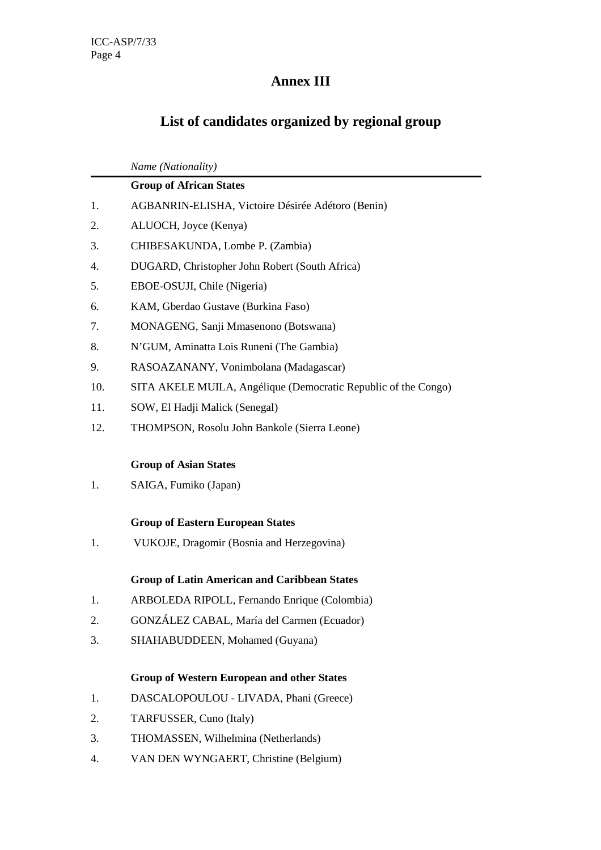## **Annex III**

# **List of candidates organized by regional group**

|     | Name (Nationality)                                             |  |  |  |  |
|-----|----------------------------------------------------------------|--|--|--|--|
|     | <b>Group of African States</b>                                 |  |  |  |  |
| 1.  | AGBANRIN-ELISHA, Victoire Désirée Adétoro (Benin)              |  |  |  |  |
| 2.  | ALUOCH, Joyce (Kenya)                                          |  |  |  |  |
| 3.  | CHIBESAKUNDA, Lombe P. (Zambia)                                |  |  |  |  |
| 4.  | DUGARD, Christopher John Robert (South Africa)                 |  |  |  |  |
| 5.  | EBOE-OSUJI, Chile (Nigeria)                                    |  |  |  |  |
| 6.  | KAM, Gberdao Gustave (Burkina Faso)                            |  |  |  |  |
| 7.  | MONAGENG, Sanji Mmasenono (Botswana)                           |  |  |  |  |
| 8.  | N'GUM, Aminatta Lois Runeni (The Gambia)                       |  |  |  |  |
| 9.  | RASOAZANANY, Vonimbolana (Madagascar)                          |  |  |  |  |
| 10. | SITA AKELE MUILA, Angélique (Democratic Republic of the Congo) |  |  |  |  |
| 11. | SOW, El Hadji Malick (Senegal)                                 |  |  |  |  |
| 12. | THOMPSON, Rosolu John Bankole (Sierra Leone)                   |  |  |  |  |
|     |                                                                |  |  |  |  |
|     | <b>Group of Asian States</b>                                   |  |  |  |  |
| 1.  | SAIGA, Fumiko (Japan)                                          |  |  |  |  |
|     |                                                                |  |  |  |  |
|     | <b>Group of Eastern European States</b>                        |  |  |  |  |
| 1.  | VUKOJE, Dragomir (Bosnia and Herzegovina)                      |  |  |  |  |
|     | <b>Group of Latin American and Caribbean States</b>            |  |  |  |  |
| 1.  | ARBOLEDA RIPOLL, Fernando Enrique (Colombia)                   |  |  |  |  |
| 2.  | GONZÁLEZ CABAL, María del Carmen (Ecuador)                     |  |  |  |  |
| 3.  | SHAHABUDDEEN, Mohamed (Guyana)                                 |  |  |  |  |
|     |                                                                |  |  |  |  |
|     | <b>Group of Western European and other States</b>              |  |  |  |  |
| 1.  | DASCALOPOULOU - LIVADA, Phani (Greece)                         |  |  |  |  |
| 2.  | TARFUSSER, Cuno (Italy)                                        |  |  |  |  |
| 3.  | THOMASSEN, Wilhelmina (Netherlands)                            |  |  |  |  |
| 4.  | VAN DEN WYNGAERT, Christine (Belgium)                          |  |  |  |  |